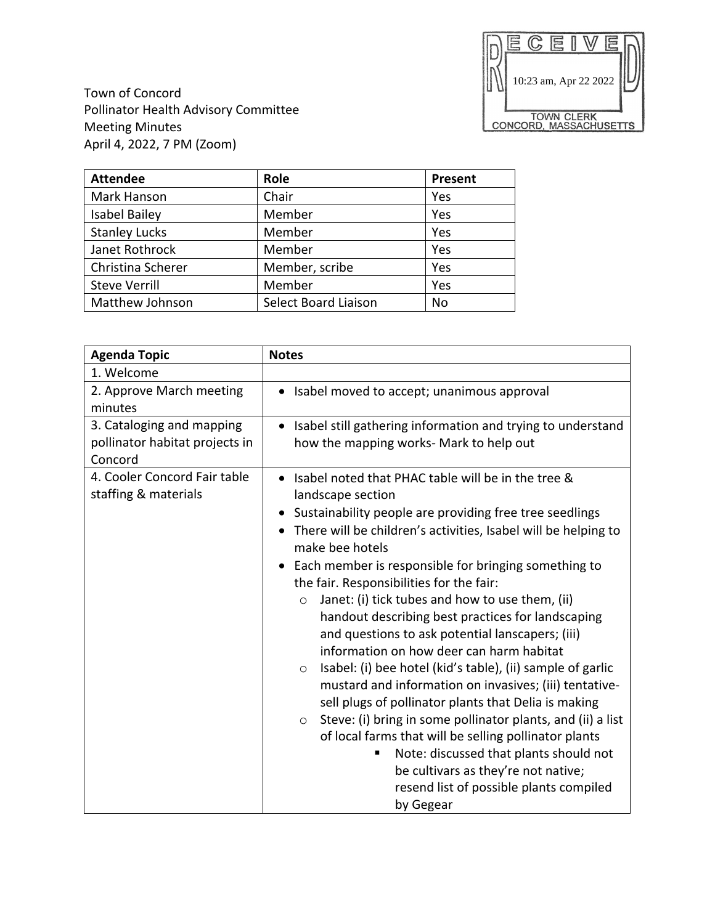

Town of Concord Pollinator Health Advisory Committee Meeting Minutes April 4, 2022, 7 PM (Zoom)

| <b>Attendee</b>      | Role                        | Present |
|----------------------|-----------------------------|---------|
| Mark Hanson          | Chair                       | Yes     |
| <b>Isabel Bailey</b> | Member                      | Yes     |
| <b>Stanley Lucks</b> | Member                      | Yes     |
| Janet Rothrock       | Member                      | Yes     |
| Christina Scherer    | Member, scribe              | Yes     |
| <b>Steve Verrill</b> | Member                      | Yes     |
| Matthew Johnson      | <b>Select Board Liaison</b> | No      |

| <b>Agenda Topic</b>                                                    | <b>Notes</b>                                                                                                                                                                                                                                                                                                                                                                                                                                                                                                                                                                                                                                                                                                                                                                                                                                                                                                                                                                                                                 |  |
|------------------------------------------------------------------------|------------------------------------------------------------------------------------------------------------------------------------------------------------------------------------------------------------------------------------------------------------------------------------------------------------------------------------------------------------------------------------------------------------------------------------------------------------------------------------------------------------------------------------------------------------------------------------------------------------------------------------------------------------------------------------------------------------------------------------------------------------------------------------------------------------------------------------------------------------------------------------------------------------------------------------------------------------------------------------------------------------------------------|--|
| 1. Welcome                                                             |                                                                                                                                                                                                                                                                                                                                                                                                                                                                                                                                                                                                                                                                                                                                                                                                                                                                                                                                                                                                                              |  |
| 2. Approve March meeting<br>minutes                                    | Isabel moved to accept; unanimous approval<br>$\bullet$                                                                                                                                                                                                                                                                                                                                                                                                                                                                                                                                                                                                                                                                                                                                                                                                                                                                                                                                                                      |  |
| 3. Cataloging and mapping<br>pollinator habitat projects in<br>Concord | • Isabel still gathering information and trying to understand<br>how the mapping works- Mark to help out                                                                                                                                                                                                                                                                                                                                                                                                                                                                                                                                                                                                                                                                                                                                                                                                                                                                                                                     |  |
| 4. Cooler Concord Fair table<br>staffing & materials                   | Isabel noted that PHAC table will be in the tree &<br>landscape section<br>• Sustainability people are providing free tree seedlings<br>There will be children's activities, Isabel will be helping to<br>make bee hotels<br>Each member is responsible for bringing something to<br>the fair. Responsibilities for the fair:<br>Janet: (i) tick tubes and how to use them, (ii)<br>$\circ$<br>handout describing best practices for landscaping<br>and questions to ask potential lanscapers; (iii)<br>information on how deer can harm habitat<br>Isabel: (i) bee hotel (kid's table), (ii) sample of garlic<br>$\circ$<br>mustard and information on invasives; (iii) tentative-<br>sell plugs of pollinator plants that Delia is making<br>Steve: (i) bring in some pollinator plants, and (ii) a list<br>$\circ$<br>of local farms that will be selling pollinator plants<br>Note: discussed that plants should not<br>Ξ<br>be cultivars as they're not native;<br>resend list of possible plants compiled<br>by Gegear |  |